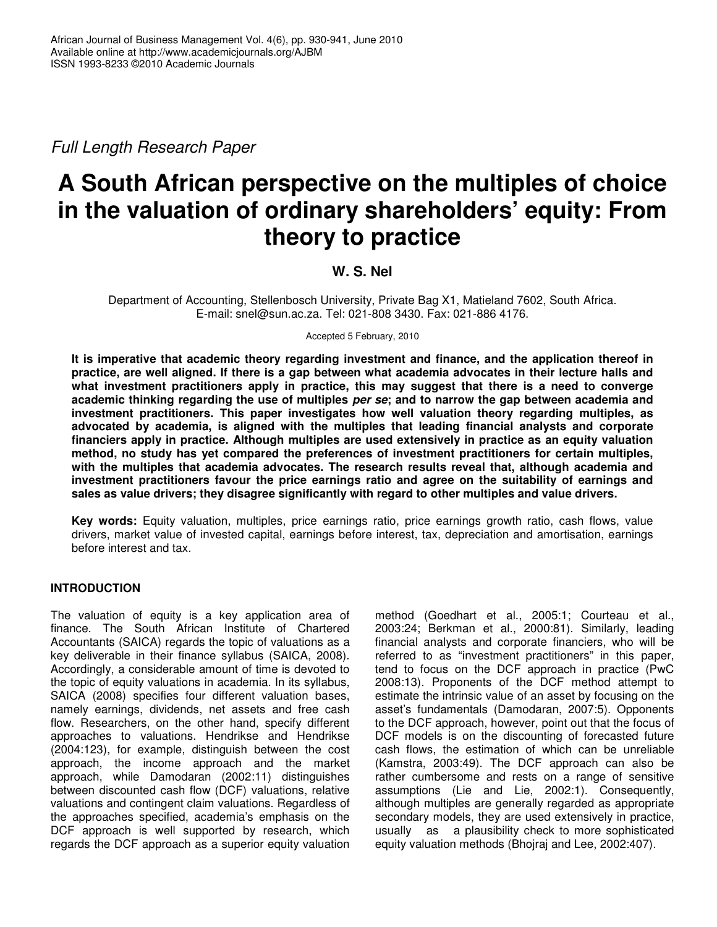*Full Length Research Paper*

# **A South African perspective on the multiples of choice in the valuation of ordinary shareholders' equity: From theory to practice**

# **W. S. Nel**

Department of Accounting, Stellenbosch University, Private Bag X1, Matieland 7602, South Africa. E-mail: snel@sun.ac.za. Tel: 021-808 3430. Fax: 021-886 4176.

Accepted 5 February, 2010

**It is imperative that academic theory regarding investment and finance, and the application thereof in** practice, are well aligned. If there is a gap between what academia advocates in their lecture halls and **what investment practitioners apply in practice, this may suggest that there is a need to converge** academic thinking regarding the use of multiples per se; and to narrow the gap between academia and **investment practitioners. This paper investigates how well valuation theory regarding multiples, as advocated by academia, is aligned with the multiples that leading financial analysts and corporate financiers apply in practice. Although multiples are used extensively in practice as an equity valuation method, no study has yet compared the preferences of investment practitioners for certain multiples, with the multiples that academia advocates. The research results reveal that, although academia and investment practitioners favour the price earnings ratio and agree on the suitability of earnings and sales as value drivers; they disagree significantly with regard to other multiples and value drivers.**

**Key words:** Equity valuation, multiples, price earnings ratio, price earnings growth ratio, cash flows, value drivers, market value of invested capital, earnings before interest, tax, depreciation and amortisation, earnings before interest and tax.

## **INTRODUCTION**

The valuation of equity is a key application area of finance. The South African Institute of Chartered Accountants (SAICA) regards the topic of valuations as a key deliverable in their finance syllabus (SAICA, 2008). Accordingly, a considerable amount of time is devoted to the topic of equity valuations in academia. In its syllabus, SAICA (2008) specifies four different valuation bases, namely earnings, dividends, net assets and free cash flow. Researchers, on the other hand, specify different approaches to valuations. Hendrikse and Hendrikse (2004:123), for example, distinguish between the cost approach, the income approach and the market approach, while Damodaran (2002:11) distinguishes between discounted cash flow (DCF) valuations, relative valuations and contingent claim valuations. Regardless of the approaches specified, academia's emphasis on the DCF approach is well supported by research, which regards the DCF approach as a superior equity valuation

method (Goedhart et al., 2005:1; Courteau et al., 2003:24; Berkman et al., 2000:81). Similarly, leading financial analysts and corporate financiers, who will be referred to as "investment practitioners" in this paper, tend to focus on the DCF approach in practice (PwC 2008:13). Proponents of the DCF method attempt to estimate the intrinsic value of an asset by focusing on the asset's fundamentals (Damodaran, 2007:5). Opponents to the DCF approach, however, point out that the focus of DCF models is on the discounting of forecasted future cash flows, the estimation of which can be unreliable (Kamstra, 2003:49). The DCF approach can also be rather cumbersome and rests on a range of sensitive assumptions (Lie and Lie, 2002:1). Consequently, although multiples are generally regarded as appropriate secondary models, they are used extensively in practice, usually as a plausibility check to more sophisticated equity valuation methods (Bhojraj and Lee, 2002:407).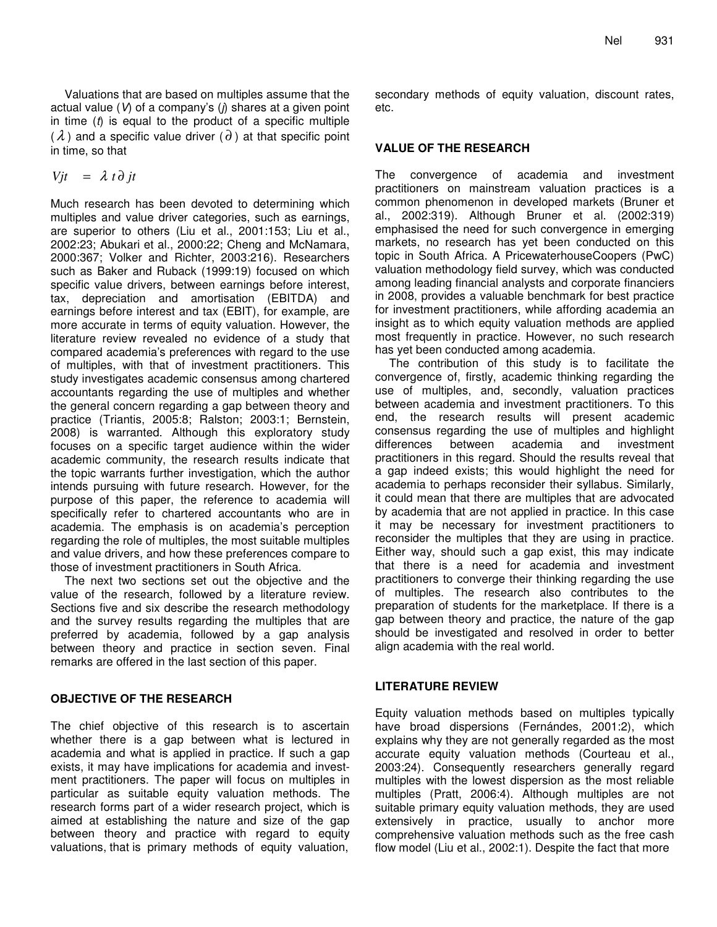Valuations that are based on multiples assume that the actual value (*V*) of a company's (*j*) shares at a given point in time (*t*) is equal to the product of a specific multiple  $(\lambda)$  and a specific value driver  $(\partial)$  at that specific point in time, so that

$$
Vjt = \lambda t \partial jt
$$

Much research has been devoted to determining which multiples and value driver categories, such as earnings, are superior to others (Liu et al., 2001:153; Liu et al., 2002:23; Abukari et al., 2000:22; Cheng and McNamara, 2000:367; Volker and Richter, 2003:216). Researchers such as Baker and Ruback (1999:19) focused on which specific value drivers, between earnings before interest, tax, depreciation and amortisation (EBITDA) and earnings before interest and tax (EBIT), for example, are more accurate in terms of equity valuation. However, the literature review revealed no evidence of a study that compared academia's preferences with regard to the use of multiples, with that of investment practitioners. This study investigates academic consensus among chartered accountants regarding the use of multiples and whether the general concern regarding a gap between theory and practice (Triantis, 2005:8; Ralston; 2003:1; Bernstein, 2008) is warranted. Although this exploratory study focuses on a specific target audience within the wider academic community, the research results indicate that the topic warrants further investigation, which the author intends pursuing with future research. However, for the purpose of this paper, the reference to academia will specifically refer to chartered accountants who are in academia. The emphasis is on academia's perception regarding the role of multiples, the most suitable multiples and value drivers, and how these preferences compare to those of investment practitioners in South Africa.

The next two sections set out the objective and the value of the research, followed by a literature review. Sections five and six describe the research methodology and the survey results regarding the multiples that are preferred by academia, followed by a gap analysis between theory and practice in section seven. Final remarks are offered in the last section of this paper.

## **OBJECTIVE OF THE RESEARCH**

The chief objective of this research is to ascertain whether there is a gap between what is lectured in academia and what is applied in practice. If such a gap exists, it may have implications for academia and investment practitioners. The paper will focus on multiples in particular as suitable equity valuation methods. The research forms part of a wider research project, which is aimed at establishing the nature and size of the gap between theory and practice with regard to equity valuations, that is primary methods of equity valuation,

secondary methods of equity valuation, discount rates, etc.

## **VALUE OF THE RESEARCH**

The convergence of academia and investment practitioners on mainstream valuation practices is a common phenomenon in developed markets (Bruner et al., 2002:319). Although Bruner et al. (2002:319) emphasised the need for such convergence in emerging markets, no research has yet been conducted on this topic in South Africa. A PricewaterhouseCoopers (PwC) valuation methodology field survey, which was conducted among leading financial analysts and corporate financiers in 2008, provides a valuable benchmark for best practice for investment practitioners, while affording academia an insight as to which equity valuation methods are applied most frequently in practice. However, no such research has yet been conducted among academia.

The contribution of this study is to facilitate the convergence of, firstly, academic thinking regarding the use of multiples, and, secondly, valuation practices between academia and investment practitioners. To this end, the research results will present academic consensus regarding the use of multiples and highlight differences between academia and investment practitioners in this regard. Should the results reveal that a gap indeed exists; this would highlight the need for academia to perhaps reconsider their syllabus. Similarly, it could mean that there are multiples that are advocated by academia that are not applied in practice. In this case it may be necessary for investment practitioners to reconsider the multiples that they are using in practice. Either way, should such a gap exist, this may indicate that there is a need for academia and investment practitioners to converge their thinking regarding the use of multiples. The research also contributes to the preparation of students for the marketplace. If there is a gap between theory and practice, the nature of the gap should be investigated and resolved in order to better align academia with the real world.

## **LITERATURE REVIEW**

Equity valuation methods based on multiples typically have broad dispersions (Fernándes, 2001:2), which explains why they are not generally regarded as the most accurate equity valuation methods (Courteau et al., 2003:24). Consequently researchers generally regard multiples with the lowest dispersion as the most reliable multiples (Pratt, 2006:4). Although multiples are not suitable primary equity valuation methods, they are used extensively in practice, usually to anchor more comprehensive valuation methods such as the free cash flow model (Liu et al., 2002:1). Despite the fact that more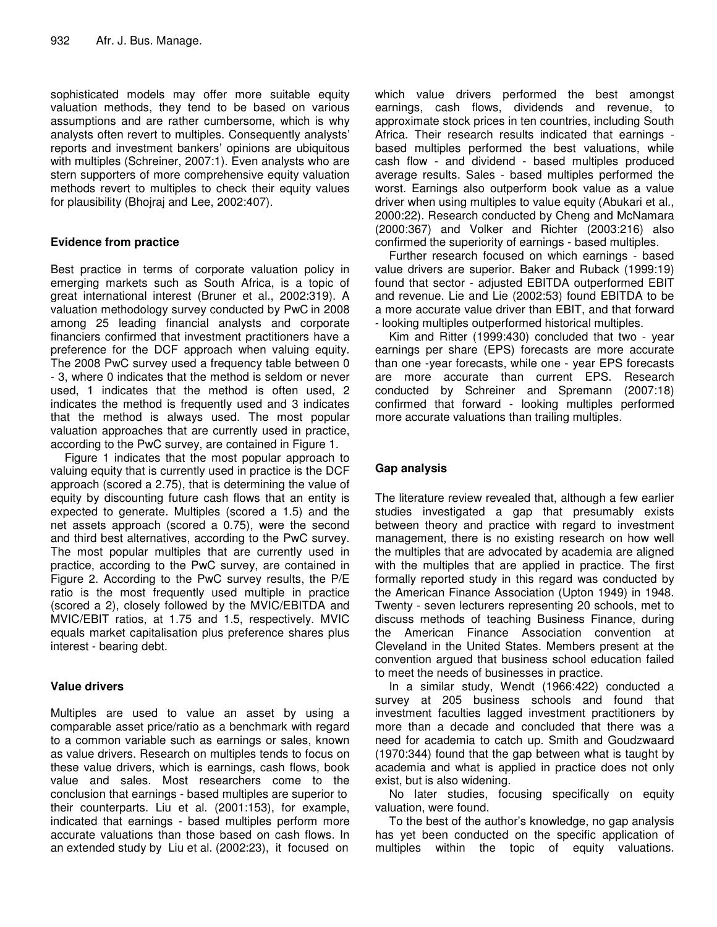sophisticated models may offer more suitable equity valuation methods, they tend to be based on various assumptions and are rather cumbersome, which is why analysts often revert to multiples. Consequently analysts' reports and investment bankers' opinions are ubiquitous with multiples (Schreiner, 2007:1). Even analysts who are stern supporters of more comprehensive equity valuation methods revert to multiples to check their equity values for plausibility (Bhojraj and Lee, 2002:407).

## **Evidence from practice**

Best practice in terms of corporate valuation policy in emerging markets such as South Africa, is a topic of great international interest (Bruner et al., 2002:319). A valuation methodology survey conducted by PwC in 2008 among 25 leading financial analysts and corporate financiers confirmed that investment practitioners have a preference for the DCF approach when valuing equity. The 2008 PwC survey used a frequency table between 0 - 3, where 0 indicates that the method is seldom or never used, 1 indicates that the method is often used, 2 indicates the method is frequently used and 3 indicates that the method is always used. The most popular valuation approaches that are currently used in practice, according to the PwC survey, are contained in Figure 1.

Figure 1 indicates that the most popular approach to valuing equity that is currently used in practice is the DCF approach (scored a 2.75), that is determining the value of equity by discounting future cash flows that an entity is expected to generate. Multiples (scored a 1.5) and the net assets approach (scored a 0.75), were the second and third best alternatives, according to the PwC survey. The most popular multiples that are currently used in practice, according to the PwC survey, are contained in Figure 2. According to the PwC survey results, the P/E ratio is the most frequently used multiple in practice (scored a 2), closely followed by the MVIC/EBITDA and MVIC/EBIT ratios, at 1.75 and 1.5, respectively. MVIC equals market capitalisation plus preference shares plus interest - bearing debt.

## **Value drivers**

Multiples are used to value an asset by using a comparable asset price/ratio as a benchmark with regard to a common variable such as earnings or sales, known as value drivers. Research on multiples tends to focus on these value drivers, which is earnings, cash flows, book value and sales. Most researchers come to the conclusion that earnings - based multiples are superior to their counterparts. Liu et al. (2001:153), for example, indicated that earnings - based multiples perform more accurate valuations than those based on cash flows. In an extended study by Liu et al. (2002:23), it focused on

which value drivers performed the best amongst earnings, cash flows, dividends and revenue, to approximate stock prices in ten countries, including South Africa. Their research results indicated that earnings based multiples performed the best valuations, while cash flow - and dividend - based multiples produced average results. Sales - based multiples performed the worst. Earnings also outperform book value as a value driver when using multiples to value equity (Abukari et al., 2000:22). Research conducted by Cheng and McNamara (2000:367) and Volker and Richter (2003:216) also confirmed the superiority of earnings - based multiples.

Further research focused on which earnings - based value drivers are superior. Baker and Ruback (1999:19) found that sector - adjusted EBITDA outperformed EBIT and revenue. Lie and Lie (2002:53) found EBITDA to be a more accurate value driver than EBIT, and that forward - looking multiples outperformed historical multiples.

Kim and Ritter (1999:430) concluded that two - year earnings per share (EPS) forecasts are more accurate than one -year forecasts, while one - year EPS forecasts are more accurate than current EPS. Research conducted by Schreiner and Spremann (2007:18) confirmed that forward - looking multiples performed more accurate valuations than trailing multiples.

## **Gap analysis**

The literature review revealed that, although a few earlier studies investigated a gap that presumably exists between theory and practice with regard to investment management, there is no existing research on how well the multiples that are advocated by academia are aligned with the multiples that are applied in practice. The first formally reported study in this regard was conducted by the American Finance Association (Upton 1949) in 1948. Twenty - seven lecturers representing 20 schools, met to discuss methods of teaching Business Finance, during the American Finance Association convention at Cleveland in the United States. Members present at the convention argued that business school education failed to meet the needs of businesses in practice.

In a similar study, Wendt (1966:422) conducted a survey at 205 business schools and found that investment faculties lagged investment practitioners by more than a decade and concluded that there was a need for academia to catch up. Smith and Goudzwaard (1970:344) found that the gap between what is taught by academia and what is applied in practice does not only exist, but is also widening.

No later studies, focusing specifically on equity valuation, were found.

To the best of the author's knowledge, no gap analysis has yet been conducted on the specific application of multiples within the topic of equity valuations.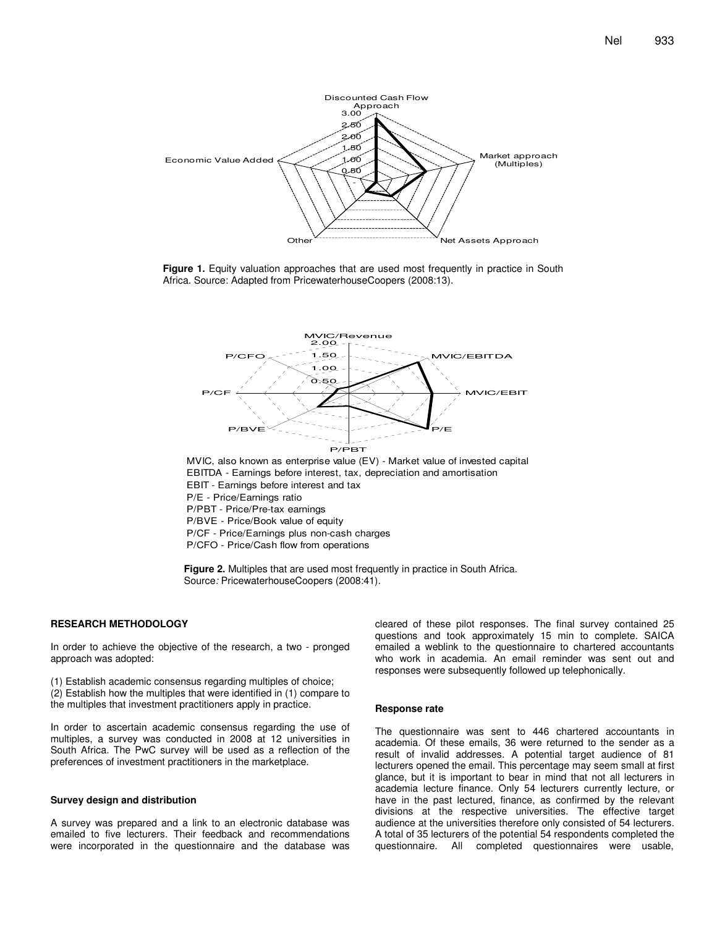

**Figure 1.** Equity valuation approaches that are used most frequently in practice in South Africa. Source: Adapted from PricewaterhouseCoopers (2008:13).



EBITDA - Earnings before interest, tax, depreciation and amortisation EBIT - Earnings before interest and tax P/E - Price/Earnings ratio P/PBT - Price/Pre-tax earnings P/BVE - Price/Book value of equity P/CF - Price/Earnings plus non-cash charges P/CFO - Price/Cash flow from operations

**Figure 2.** Multiples that are used most frequently in practice in South Africa. Source*:* PricewaterhouseCoopers (2008:41).

#### **RESEARCH METHODOLOGY**

In order to achieve the objective of the research, a two - pronged approach was adopted:

(1) Establish academic consensus regarding multiples of choice; (2) Establish how the multiples that were identified in (1) compare to the multiples that investment practitioners apply in practice.

In order to ascertain academic consensus regarding the use of multiples, a survey was conducted in 2008 at 12 universities in South Africa. The PwC survey will be used as a reflection of the preferences of investment practitioners in the marketplace.

#### **Survey design and distribution**

A survey was prepared and a link to an electronic database was emailed to five lecturers. Their feedback and recommendations were incorporated in the questionnaire and the database was

cleared of these pilot responses. The final survey contained 25 questions and took approximately 15 min to complete. SAICA emailed a weblink to the questionnaire to chartered accountants who work in academia. An email reminder was sent out and responses were subsequently followed up telephonically.

#### **Response rate**

The questionnaire was sent to 446 chartered accountants in academia. Of these emails, 36 were returned to the sender as a result of invalid addresses. A potential target audience of 81 lecturers opened the email. This percentage may seem small at first glance, but it is important to bear in mind that not all lecturers in academia lecture finance. Only 54 lecturers currently lecture, or have in the past lectured, finance, as confirmed by the relevant divisions at the respective universities. The effective target audience at the universities therefore only consisted of 54 lecturers. A total of 35 lecturers of the potential 54 respondents completed the questionnaire. All completed questionnaires were usable,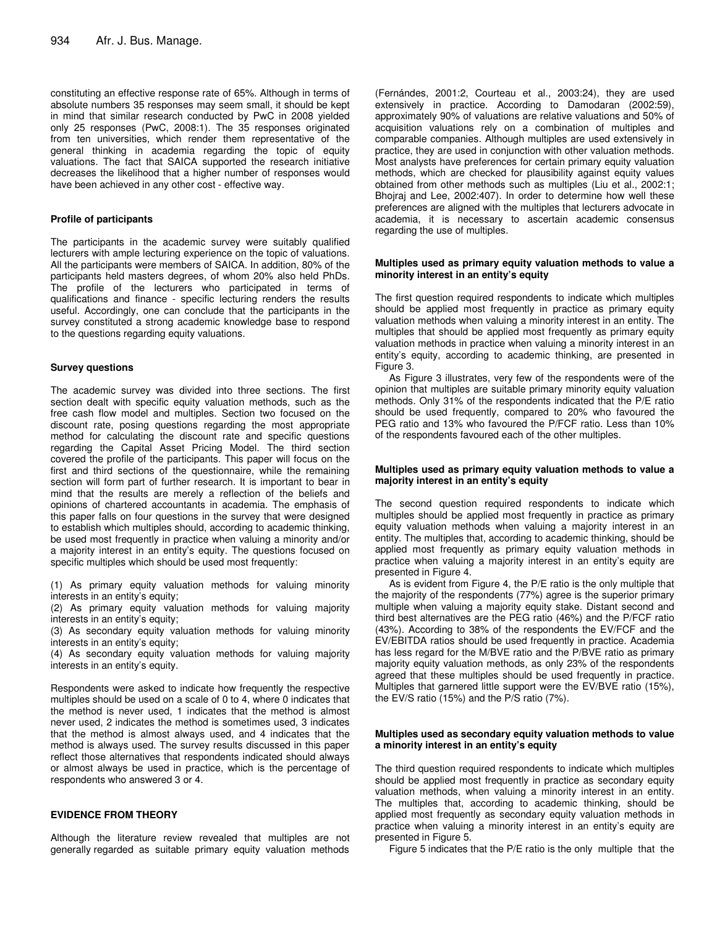constituting an effective response rate of 65%. Although in terms of absolute numbers 35 responses may seem small, it should be kept in mind that similar research conducted by PwC in 2008 yielded only 25 responses (PwC, 2008:1). The 35 responses originated from ten universities, which render them representative of the general thinking in academia regarding the topic of equity valuations. The fact that SAICA supported the research initiative decreases the likelihood that a higher number of responses would have been achieved in any other cost - effective way.

#### **Profile of participants**

The participants in the academic survey were suitably qualified lecturers with ample lecturing experience on the topic of valuations. All the participants were members of SAICA. In addition, 80% of the participants held masters degrees, of whom 20% also held PhDs. The profile of the lecturers who participated in terms of qualifications and finance - specific lecturing renders the results useful. Accordingly, one can conclude that the participants in the survey constituted a strong academic knowledge base to respond to the questions regarding equity valuations.

#### **Survey questions**

The academic survey was divided into three sections. The first section dealt with specific equity valuation methods, such as the free cash flow model and multiples. Section two focused on the discount rate, posing questions regarding the most appropriate method for calculating the discount rate and specific questions regarding the Capital Asset Pricing Model. The third section covered the profile of the participants. This paper will focus on the first and third sections of the questionnaire, while the remaining section will form part of further research. It is important to bear in mind that the results are merely a reflection of the beliefs and opinions of chartered accountants in academia. The emphasis of this paper falls on four questions in the survey that were designed to establish which multiples should, according to academic thinking, be used most frequently in practice when valuing a minority and/or a majority interest in an entity's equity. The questions focused on specific multiples which should be used most frequently:

(1) As primary equity valuation methods for valuing minority interests in an entity's equity;

(2) As primary equity valuation methods for valuing majority interests in an entity's equity;

(3) As secondary equity valuation methods for valuing minority interests in an entity's equity;

(4) As secondary equity valuation methods for valuing majority interests in an entity's equity.

Respondents were asked to indicate how frequently the respective multiples should be used on a scale of 0 to 4, where 0 indicates that the method is never used, 1 indicates that the method is almost never used, 2 indicates the method is sometimes used, 3 indicates that the method is almost always used, and 4 indicates that the method is always used. The survey results discussed in this paper reflect those alternatives that respondents indicated should always or almost always be used in practice, which is the percentage of respondents who answered 3 or 4.

#### **EVIDENCE FROM THEORY**

Although the literature review revealed that multiples are not generally regarded as suitable primary equity valuation methods

(Fernándes, 2001:2, Courteau et al., 2003:24), they are used extensively in practice. According to Damodaran (2002:59), approximately 90% of valuations are relative valuations and 50% of acquisition valuations rely on a combination of multiples and comparable companies. Although multiples are used extensively in practice, they are used in conjunction with other valuation methods. Most analysts have preferences for certain primary equity valuation methods, which are checked for plausibility against equity values obtained from other methods such as multiples (Liu et al., 2002:1; Bhojraj and Lee, 2002:407). In order to determine how well these preferences are aligned with the multiples that lecturers advocate in academia, it is necessary to ascertain academic consensus regarding the use of multiples.

#### **Multiples used as primary equity valuation methods to value a minority interest in an entity's equity**

The first question required respondents to indicate which multiples should be applied most frequently in practice as primary equity valuation methods when valuing a minority interest in an entity. The multiples that should be applied most frequently as primary equity valuation methods in practice when valuing a minority interest in an entity's equity, according to academic thinking, are presented in Figure 3.

As Figure 3 illustrates, very few of the respondents were of the opinion that multiples are suitable primary minority equity valuation methods. Only 31% of the respondents indicated that the P/E ratio should be used frequently, compared to 20% who favoured the PEG ratio and 13% who favoured the P/FCF ratio. Less than 10% of the respondents favoured each of the other multiples.

#### **Multiples used as primary equity valuation methods to value a majority interest in an entity's equity**

The second question required respondents to indicate which multiples should be applied most frequently in practice as primary equity valuation methods when valuing a majority interest in an entity. The multiples that, according to academic thinking, should be applied most frequently as primary equity valuation methods in practice when valuing a majority interest in an entity's equity are presented in Figure 4.

As is evident from Figure 4, the P/E ratio is the only multiple that the majority of the respondents (77%) agree is the superior primary multiple when valuing a majority equity stake. Distant second and third best alternatives are the PEG ratio (46%) and the P/FCF ratio (43%). According to 38% of the respondents the EV/FCF and the EV/EBITDA ratios should be used frequently in practice. Academia has less regard for the M/BVE ratio and the P/BVE ratio as primary majority equity valuation methods, as only 23% of the respondents agreed that these multiples should be used frequently in practice. Multiples that garnered little support were the EV/BVE ratio (15%), the EV/S ratio (15%) and the P/S ratio (7%).

#### **Multiples used as secondary equity valuation methods to value a minority interest in an entity's equity**

The third question required respondents to indicate which multiples should be applied most frequently in practice as secondary equity valuation methods, when valuing a minority interest in an entity. The multiples that, according to academic thinking, should be applied most frequently as secondary equity valuation methods in practice when valuing a minority interest in an entity's equity are presented in Figure 5.

Figure 5 indicates that the P/E ratio is the only multiple that the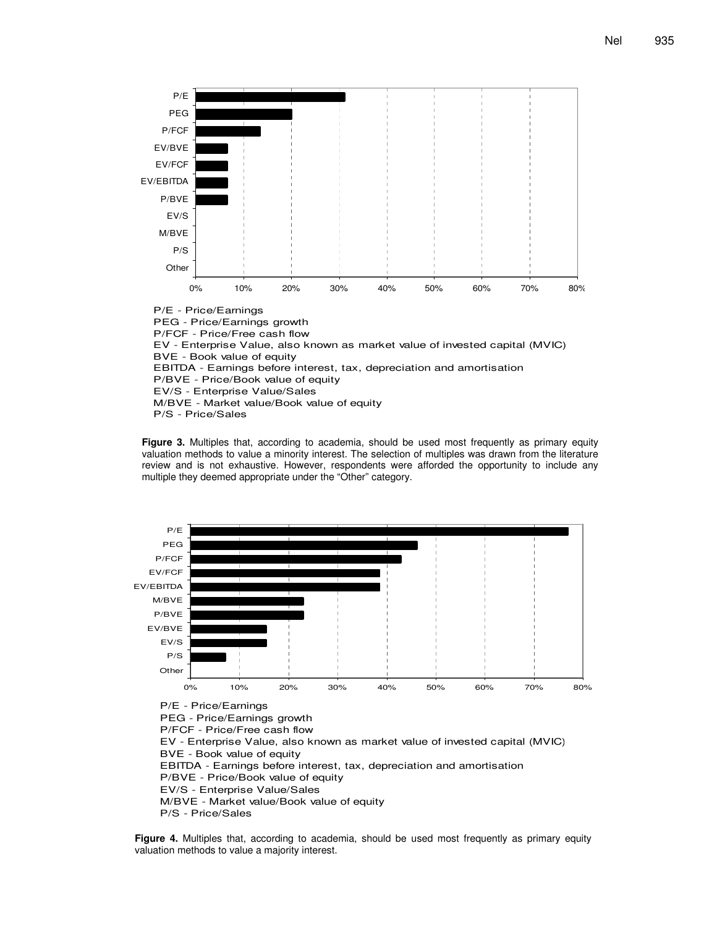

**Figure 3.** Multiples that, according to academia, should be used most frequently as primary equity valuation methods to value a minority interest. The selection of multiples was drawn from the literature review and is not exhaustive. However, respondents were afforded the opportunity to include any multiple they deemed appropriate under the "Other" category.



EBITDA - Earnings before interest, tax, depreciation and amortisation P/BVE - Price/Book value of equity

EV/S - Enterprise Value/Sales

M/BVE - Market value/Book value of equity

P/S - Price/Sales

**Figure 4.** Multiples that, according to academia, should be used most frequently as primary equity valuation methods to value a majority interest.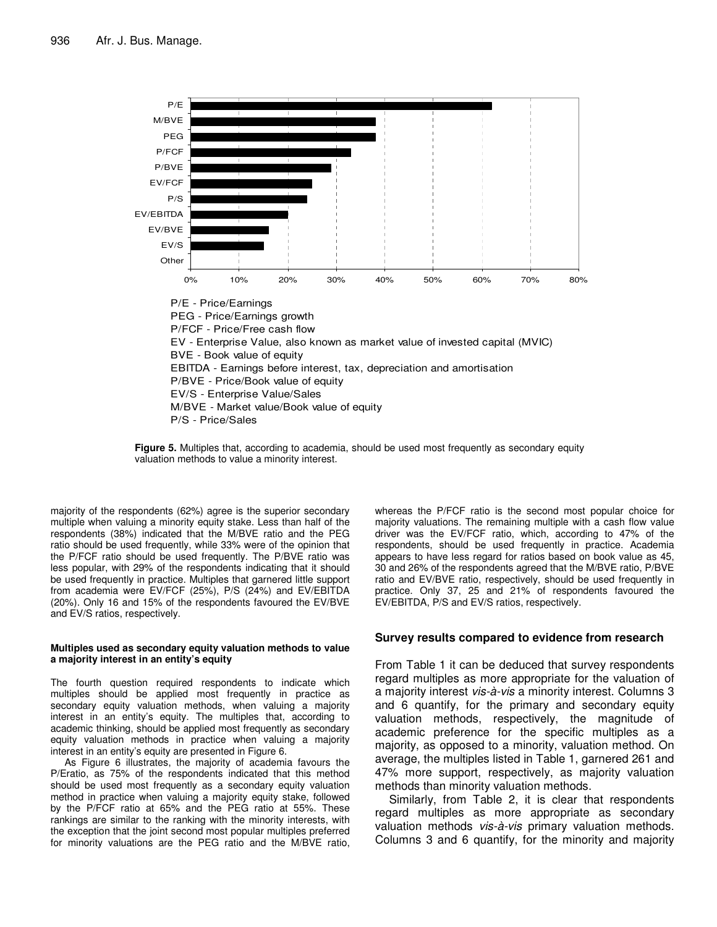



majority of the respondents (62%) agree is the superior secondary multiple when valuing a minority equity stake. Less than half of the respondents (38%) indicated that the M/BVE ratio and the PEG ratio should be used frequently, while 33% were of the opinion that the P/FCF ratio should be used frequently. The P/BVE ratio was less popular, with 29% of the respondents indicating that it should be used frequently in practice. Multiples that garnered little support from academia were EV/FCF (25%), P/S (24%) and EV/EBITDA (20%). Only 16 and 15% of the respondents favoured the EV/BVE and EV/S ratios, respectively.

#### **Multiples used as secondary equity valuation methods to value a majority interest in an entity's equity**

The fourth question required respondents to indicate which multiples should be applied most frequently in practice as secondary equity valuation methods, when valuing a majority interest in an entity's equity. The multiples that, according to academic thinking, should be applied most frequently as secondary equity valuation methods in practice when valuing a majority interest in an entity's equity are presented in Figure 6.

As Figure 6 illustrates, the majority of academia favours the P/Eratio, as 75% of the respondents indicated that this method should be used most frequently as a secondary equity valuation method in practice when valuing a majority equity stake, followed by the P/FCF ratio at 65% and the PEG ratio at 55%. These rankings are similar to the ranking with the minority interests, with the exception that the joint second most popular multiples preferred for minority valuations are the PEG ratio and the M/BVE ratio, whereas the P/FCF ratio is the second most popular choice for majority valuations. The remaining multiple with a cash flow value driver was the EV/FCF ratio, which, according to 47% of the respondents, should be used frequently in practice. Academia appears to have less regard for ratios based on book value as 45, 30 and 26% of the respondents agreed that the M/BVE ratio, P/BVE ratio and EV/BVE ratio, respectively, should be used frequently in practice. Only 37, 25 and 21% of respondents favoured the EV/EBITDA, P/S and EV/S ratios, respectively.

## **Survey results compared to evidence from research**

From Table 1 it can be deduced that survey respondents regard multiples as more appropriate for the valuation of a majority interest *vis-à-vis* a minority interest. Columns 3 and 6 quantify, for the primary and secondary equity valuation methods, respectively, the magnitude of academic preference for the specific multiples as a majority, as opposed to a minority, valuation method. On average, the multiples listed in Table 1, garnered 261 and 47% more support, respectively, as majority valuation methods than minority valuation methods.

Similarly, from Table 2, it is clear that respondents regard multiples as more appropriate as secondary valuation methods *vis-à-vis* primary valuation methods. Columns 3 and 6 quantify, for the minority and majority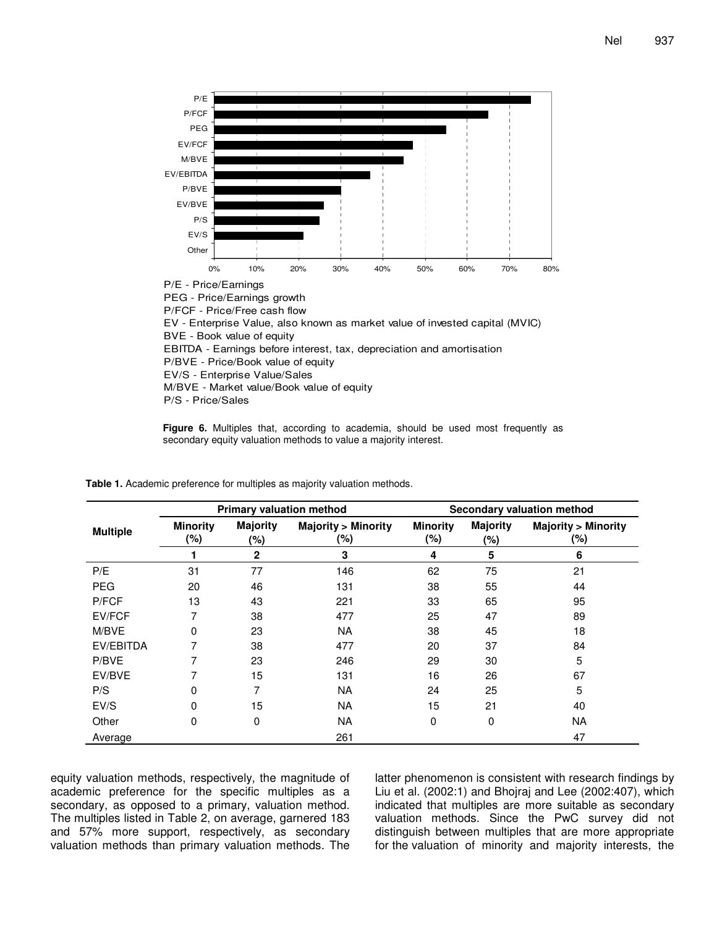

**Figure 6.** Multiples that, according to academia, should be used most frequently as secondary equity valuation methods to value a majority interest.

|                 |                           | <b>Primary valuation method</b> |                                      | <b>Secondary valuation method</b> |                        |                                      |  |
|-----------------|---------------------------|---------------------------------|--------------------------------------|-----------------------------------|------------------------|--------------------------------------|--|
| <b>Multiple</b> | <b>Minority</b><br>$(\%)$ | <b>Majority</b><br>(%)          | <b>Majority &gt; Minority</b><br>(%) |                                   | <b>Majority</b><br>(%) | <b>Majority &gt; Minority</b><br>(%) |  |
|                 |                           | $\mathbf{2}$                    | 3                                    | 4                                 | 5                      | 6                                    |  |
| P/E             | 31                        | 77                              | 146                                  | 62                                | 75                     | 21                                   |  |
| <b>PEG</b>      | 20                        | 46                              | 131                                  | 38                                | 55                     | 44                                   |  |
| P/FCF           | 13                        | 43                              | 221                                  | 33                                | 65                     | 95                                   |  |
| EV/FCF          | 7                         | 38                              | 477                                  | 25                                | 47                     | 89                                   |  |
| M/BVE           | 0                         | 23                              | <b>NA</b>                            | 38                                | 45                     | 18                                   |  |
| EV/EBITDA       | 7                         | 38                              | 477                                  | 20                                | 37                     | 84                                   |  |
| P/BVE           | 7                         | 23                              | 246                                  | 29                                | 30                     | 5                                    |  |
| EV/BVE          | 7                         | 15                              | 131                                  | 16                                | 26                     | 67                                   |  |
| P/S             | 0                         |                                 | <b>NA</b>                            | 24                                | 25                     | 5                                    |  |
| EV/S            | $\Omega$                  | 15                              | <b>NA</b>                            | 15                                | 21                     | 40                                   |  |
| Other           | 0                         | 0                               | <b>NA</b>                            | 0                                 | 0                      | <b>NA</b>                            |  |
| Average         |                           |                                 | 261                                  |                                   |                        | 47                                   |  |

**Table 1.** Academic preference for multiples as majority valuation methods.

equity valuation methods, respectively, the magnitude of academic preference for the specific multiples as a secondary, as opposed to a primary, valuation method. The multiples listed in Table 2, on average, garnered 183 and 57% more support, respectively, as secondary valuation methods than primary valuation methods. The

latter phenomenon is consistent with research findings by Liu et al. (2002:1) and Bhojraj and Lee (2002:407), which indicated that multiples are more suitable as secondary valuation methods. Since the PwC survey did not distinguish between multiples that are more appropriate for the valuation of minority and majority interests, the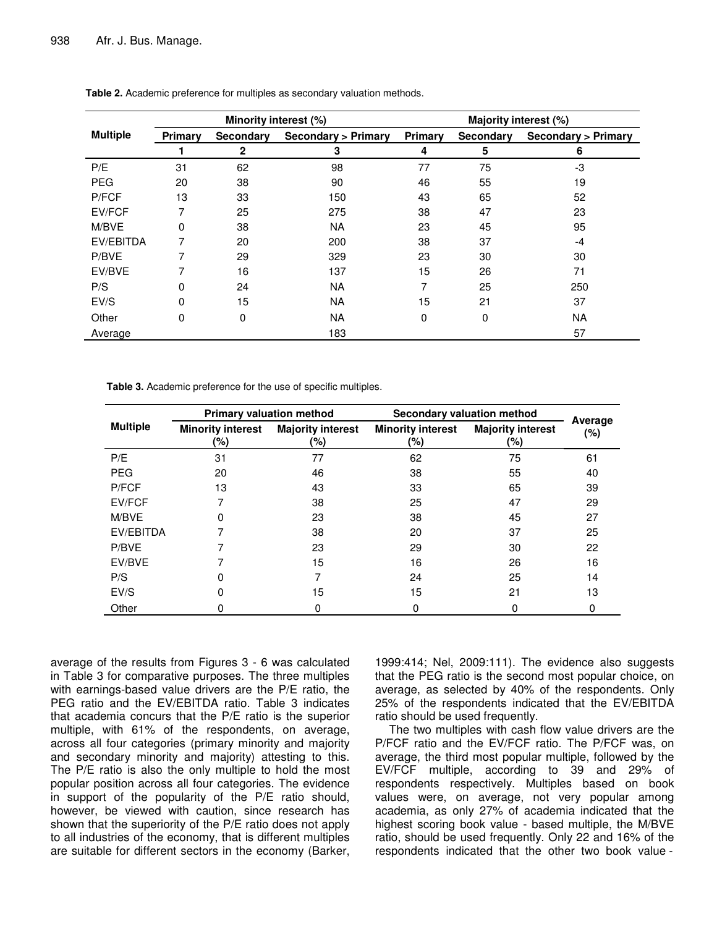|                 |         | Minority interest (%) |                               | Majority interest (%) |           |                               |  |
|-----------------|---------|-----------------------|-------------------------------|-----------------------|-----------|-------------------------------|--|
| <b>Multiple</b> | Primary | <b>Secondary</b>      | <b>Secondary &gt; Primary</b> | Primary               | Secondary | <b>Secondary &gt; Primary</b> |  |
|                 |         | 2                     | 3                             | 4                     | 5         | 6                             |  |
| P/E             | 31      | 62                    | 98                            | 77                    | 75        | -3                            |  |
| <b>PEG</b>      | 20      | 38                    | 90                            | 46                    | 55        | 19                            |  |
| P/FCF           | 13      | 33                    | 150                           | 43                    | 65        | 52                            |  |
| EV/FCF          | 7       | 25                    | 275                           | 38                    | 47        | 23                            |  |
| M/BVE           | 0       | 38                    | <b>NA</b>                     | 23                    | 45        | 95                            |  |
| EV/EBITDA       | 7       | 20                    | 200                           | 38                    | 37        | -4                            |  |
| P/BVE           | 7       | 29                    | 329                           | 23                    | 30        | 30                            |  |
| EV/BVE          | 7       | 16                    | 137                           | 15                    | 26        | 71                            |  |
| P/S             | 0       | 24                    | <b>NA</b>                     | 7                     | 25        | 250                           |  |
| EV/S            | 0       | 15                    | <b>NA</b>                     | 15                    | 21        | 37                            |  |
| Other           | 0       | 0                     | <b>NA</b>                     | 0                     | 0         | <b>NA</b>                     |  |
| Average         |         |                       | 183                           |                       |           | 57                            |  |

**Table 2.** Academic preference for multiples as secondary valuation methods.

**Table 3.** Academic preference for the use of specific multiples.

| <b>Multiple</b> | <b>Primary valuation method</b> |                                 | <b>Secondary valuation method</b> |                                 |                |
|-----------------|---------------------------------|---------------------------------|-----------------------------------|---------------------------------|----------------|
|                 | <b>Minority interest</b><br>(%) | <b>Majority interest</b><br>(%) | <b>Minority interest</b><br>(%)   | <b>Majority interest</b><br>(%) | Average<br>(%) |
| P/E             | 31                              | 77                              | 62                                | 75                              | 61             |
| <b>PEG</b>      | 20                              | 46                              | 38                                | 55                              | 40             |
| P/FCF           | 13                              | 43                              | 33                                | 65                              | 39             |
| EV/FCF          | 7                               | 38                              | 25                                | 47                              | 29             |
| M/BVE           | 0                               | 23                              | 38                                | 45                              | 27             |
| EV/EBITDA       | 7                               | 38                              | 20                                | 37                              | 25             |
| P/BVE           |                                 | 23                              | 29                                | 30                              | 22             |
| EV/BVE          | 7                               | 15                              | 16                                | 26                              | 16             |
| P/S             | 0                               | 7                               | 24                                | 25                              | 14             |
| EV/S            | 0                               | 15                              | 15                                | 21                              | 13             |
| Other           | 0                               | 0                               | 0                                 | 0                               | 0              |

average of the results from Figures 3 - 6 was calculated in Table 3 for comparative purposes. The three multiples with earnings-based value drivers are the P/E ratio, the PEG ratio and the EV/EBITDA ratio. Table 3 indicates that academia concurs that the P/E ratio is the superior multiple, with 61% of the respondents, on average, across all four categories (primary minority and majority and secondary minority and majority) attesting to this. The P/E ratio is also the only multiple to hold the most popular position across all four categories. The evidence in support of the popularity of the P/E ratio should, however, be viewed with caution, since research has shown that the superiority of the P/E ratio does not apply to all industries of the economy, that is different multiples are suitable for different sectors in the economy (Barker,

1999:414; Nel, 2009:111). The evidence also suggests that the PEG ratio is the second most popular choice, on average, as selected by 40% of the respondents. Only 25% of the respondents indicated that the EV/EBITDA ratio should be used frequently.

The two multiples with cash flow value drivers are the P/FCF ratio and the EV/FCF ratio. The P/FCF was, on average, the third most popular multiple, followed by the EV/FCF multiple, according to 39 and 29% of respondents respectively. Multiples based on book values were, on average, not very popular among academia, as only 27% of academia indicated that the highest scoring book value - based multiple, the M/BVE ratio, should be used frequently. Only 22 and 16% of the respondents indicated that the other two book value -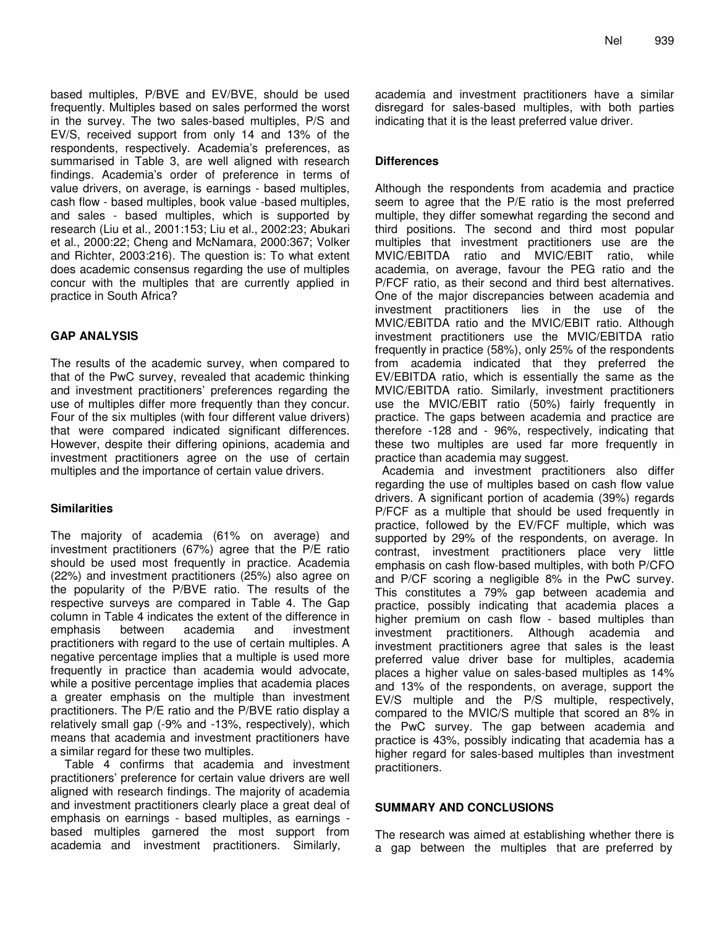based multiples, P/BVE and EV/BVE, should be used frequently. Multiples based on sales performed the worst in the survey. The two sales-based multiples, P/S and EV/S, received support from only 14 and 13% of the respondents, respectively. Academia's preferences, as summarised in Table 3, are well aligned with research findings. Academia's order of preference in terms of value drivers, on average, is earnings - based multiples, cash flow - based multiples, book value -based multiples, and sales - based multiples, which is supported by research (Liu et al., 2001:153; Liu et al., 2002:23; Abukari et al., 2000:22; Cheng and McNamara, 2000:367; Volker and Richter, 2003:216). The question is: To what extent does academic consensus regarding the use of multiples concur with the multiples that are currently applied in practice in South Africa?

## **GAP ANALYSIS**

The results of the academic survey, when compared to that of the PwC survey, revealed that academic thinking and investment practitioners' preferences regarding the use of multiples differ more frequently than they concur. Four of the six multiples (with four different value drivers) that were compared indicated significant differences. However, despite their differing opinions, academia and investment practitioners agree on the use of certain multiples and the importance of certain value drivers.

## **Similarities**

The majority of academia (61% on average) and investment practitioners (67%) agree that the P/E ratio should be used most frequently in practice. Academia (22%) and investment practitioners (25%) also agree on the popularity of the P/BVE ratio. The results of the respective surveys are compared in Table 4. The Gap column in Table 4 indicates the extent of the difference in emphasis between academia and investment practitioners with regard to the use of certain multiples. A negative percentage implies that a multiple is used more frequently in practice than academia would advocate, while a positive percentage implies that academia places a greater emphasis on the multiple than investment practitioners. The P/E ratio and the P/BVE ratio display a relatively small gap (-9% and -13%, respectively), which means that academia and investment practitioners have a similar regard for these two multiples.

Table 4 confirms that academia and investment practitioners' preference for certain value drivers are well aligned with research findings. The majority of academia and investment practitioners clearly place a great deal of emphasis on earnings - based multiples, as earnings based multiples garnered the most support from academia and investment practitioners. Similarly,

academia and investment practitioners have a similar disregard for sales-based multiples, with both parties indicating that it is the least preferred value driver.

## **Differences**

Although the respondents from academia and practice seem to agree that the P/E ratio is the most preferred multiple, they differ somewhat regarding the second and third positions. The second and third most popular multiples that investment practitioners use are the MVIC/EBITDA ratio and MVIC/EBIT ratio, while academia, on average, favour the PEG ratio and the P/FCF ratio, as their second and third best alternatives. One of the major discrepancies between academia and investment practitioners lies in the use of the MVIC/EBITDA ratio and the MVIC/EBIT ratio. Although investment practitioners use the MVIC/EBITDA ratio frequently in practice (58%), only 25% of the respondents from academia indicated that they preferred the EV/EBITDA ratio, which is essentially the same as the MVIC/EBITDA ratio. Similarly, investment practitioners use the MVIC/EBIT ratio (50%) fairly frequently in practice. The gaps between academia and practice are therefore -128 and - 96%, respectively, indicating that these two multiples are used far more frequently in practice than academia may suggest.

Academia and investment practitioners also differ regarding the use of multiples based on cash flow value drivers. A significant portion of academia (39%) regards P/FCF as a multiple that should be used frequently in practice, followed by the EV/FCF multiple, which was supported by 29% of the respondents, on average. In contrast, investment practitioners place very little emphasis on cash flow-based multiples, with both P/CFO and P/CF scoring a negligible 8% in the PwC survey. This constitutes a 79% gap between academia and practice, possibly indicating that academia places a higher premium on cash flow - based multiples than investment practitioners. Although academia and investment practitioners agree that sales is the least preferred value driver base for multiples, academia places a higher value on sales-based multiples as 14% and 13% of the respondents, on average, support the EV/S multiple and the P/S multiple, respectively, compared to the MVIC/S multiple that scored an 8% in the PwC survey. The gap between academia and practice is 43%, possibly indicating that academia has a higher regard for sales-based multiples than investment practitioners.

## **SUMMARY AND CONCLUSIONS**

The research was aimed at establishing whether there is a gap between the multiples that are preferred by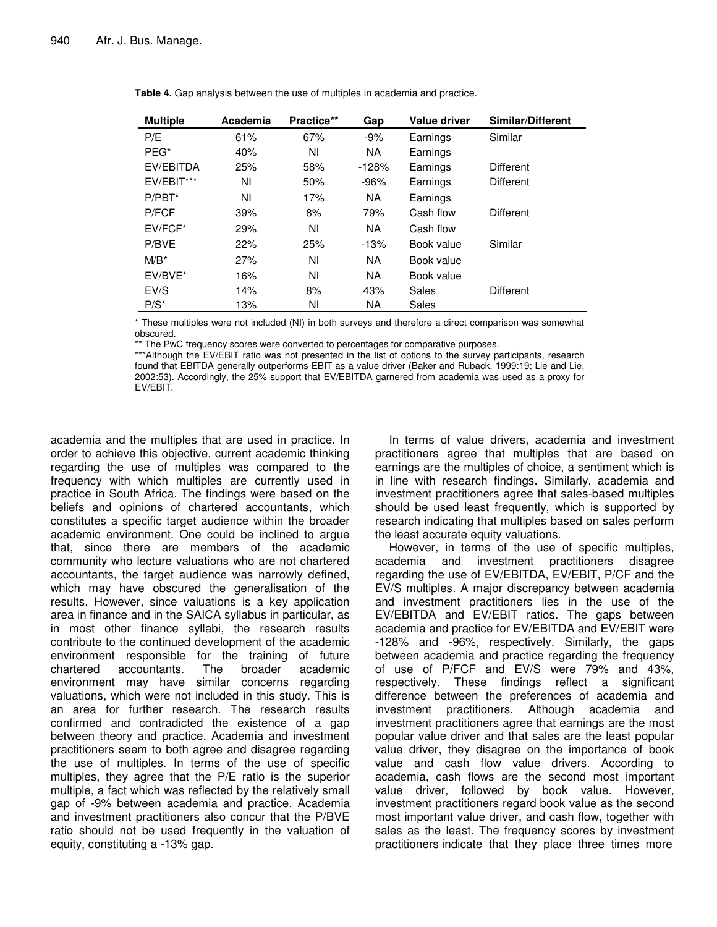| <b>Multiple</b> | Academia | Practice** | Gap       | <b>Value driver</b> | Similar/Different |
|-----------------|----------|------------|-----------|---------------------|-------------------|
| P/E             | 61%      | 67%        | $-9%$     | Earnings            | Similar           |
| PEG*            | 40%      | ΝI         | <b>NA</b> | Earnings            |                   |
| EV/EBITDA       | 25%      | 58%        | $-128%$   | Earnings            | <b>Different</b>  |
| EV/EBIT***      | ΝI       | 50%        | $-96%$    | Earnings            | <b>Different</b>  |
| $P/PBT^*$       | ΝI       | 17%        | <b>NA</b> | Earnings            |                   |
| P/FCF           | 39%      | 8%         | 79%       | Cash flow           | <b>Different</b>  |
| $EVIFCF*$       | 29%      | ΝI         | <b>NA</b> | Cash flow           |                   |
| P/BVE           | 22%      | 25%        | $-13%$    | Book value          | Similar           |
| $M/B^*$         | 27%      | ΝI         | NA.       | Book value          |                   |
| EV/BVE*         | 16%      | ΝI         | <b>NA</b> | Book value          |                   |
| EV/S            | 14%      | 8%         | 43%       | Sales               | <b>Different</b>  |
| $P/S^*$         | 13%      | NI         | NA        | Sales               |                   |

**Table 4.** Gap analysis between the use of multiples in academia and practice.

\* These multiples were not included (NI) in both surveys and therefore a direct comparison was somewhat obscured.

\* The PwC frequency scores were converted to percentages for comparative purposes.

\*\*\*Although the EV/EBIT ratio was not presented in the list of options to the survey participants, research found that EBITDA generally outperforms EBIT as a value driver (Baker and Ruback, 1999:19; Lie and Lie, 2002:53). Accordingly, the 25% support that EV/EBITDA garnered from academia was used as a proxy for EV/EBIT.

academia and the multiples that are used in practice. In order to achieve this objective, current academic thinking regarding the use of multiples was compared to the frequency with which multiples are currently used in practice in South Africa. The findings were based on the beliefs and opinions of chartered accountants, which constitutes a specific target audience within the broader academic environment. One could be inclined to argue that, since there are members of the academic community who lecture valuations who are not chartered accountants, the target audience was narrowly defined, which may have obscured the generalisation of the results. However, since valuations is a key application area in finance and in the SAICA syllabus in particular, as in most other finance syllabi, the research results contribute to the continued development of the academic environment responsible for the training of future chartered accountants. The broader academic environment may have similar concerns regarding valuations, which were not included in this study. This is an area for further research. The research results confirmed and contradicted the existence of a gap between theory and practice. Academia and investment practitioners seem to both agree and disagree regarding the use of multiples. In terms of the use of specific multiples, they agree that the P/E ratio is the superior multiple, a fact which was reflected by the relatively small gap of -9% between academia and practice. Academia and investment practitioners also concur that the P/BVE ratio should not be used frequently in the valuation of equity, constituting a -13% gap.

In terms of value drivers, academia and investment practitioners agree that multiples that are based on earnings are the multiples of choice, a sentiment which is in line with research findings. Similarly, academia and investment practitioners agree that sales-based multiples should be used least frequently, which is supported by research indicating that multiples based on sales perform the least accurate equity valuations.

However, in terms of the use of specific multiples, academia and investment practitioners disagree regarding the use of EV/EBITDA, EV/EBIT, P/CF and the EV/S multiples. A major discrepancy between academia and investment practitioners lies in the use of the EV/EBITDA and EV/EBIT ratios. The gaps between academia and practice for EV/EBITDA and EV/EBIT were -128% and -96%, respectively. Similarly, the gaps between academia and practice regarding the frequency of use of P/FCF and EV/S were 79% and 43%, respectively. These findings reflect a significant difference between the preferences of academia and investment practitioners. Although academia and investment practitioners agree that earnings are the most popular value driver and that sales are the least popular value driver, they disagree on the importance of book value and cash flow value drivers. According to academia, cash flows are the second most important value driver, followed by book value. However, investment practitioners regard book value as the second most important value driver, and cash flow, together with sales as the least. The frequency scores by investment practitioners indicate that they place three times more